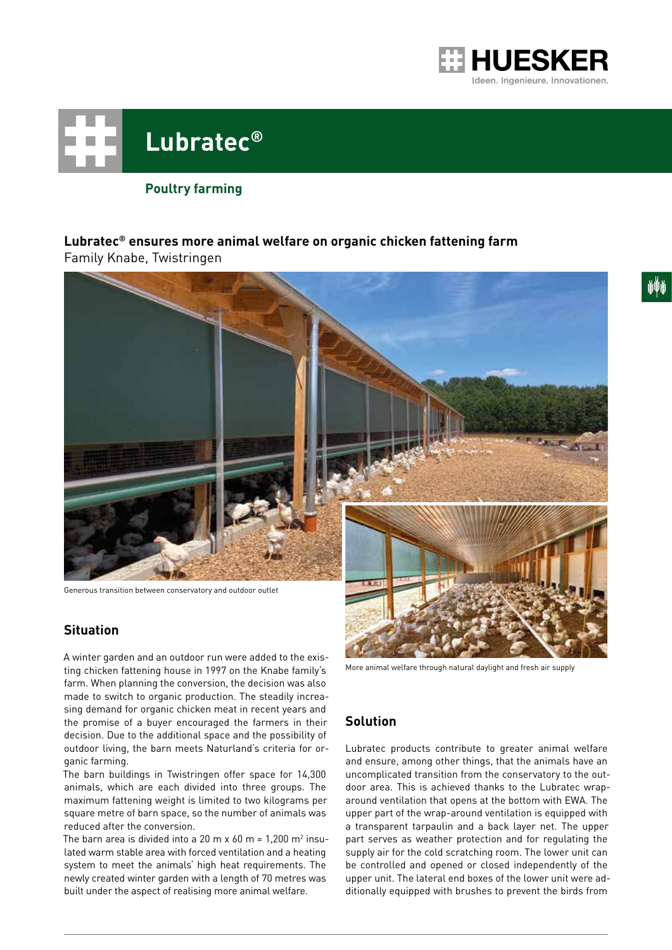

# **Lubratec®**

# **Poultry farming**

## **Lubratec® ensures more animal welfare on organic chicken fattening farm** Family Knabe, Twistringen





## **Situation**

A winter garden and an outdoor run were added to the existing chicken fattening house in 1997 on the Knabe family's farm. When planning the conversion, the decision was also made to switch to organic production. The steadily increasing demand for organic chicken meat in recent years and the promise of a buyer encouraged the farmers in their decision. Due to the additional space and the possibility of outdoor living, the barn meets Naturland's criteria for organic farming.

The barn buildings in Twistringen offer space for 14,300 animals, which are each divided into three groups. The maximum fattening weight is limited to two kilograms per square metre of barn space, so the number of animals was reduced after the conversion.

The barn area is divided into a 20 m x 60 m = 1,200 m<sup>2</sup> insulated warm stable area with forced ventilation and a heating system to meet the animals' high heat requirements. The newly created winter garden with a length of 70 metres was built under the aspect of realising more animal welfare.

More animal welfare through natural daylight and fresh air supply

### **Solution**

Lubratec products contribute to greater animal welfare and ensure, among other things, that the animals have an uncomplicated transition from the conservatory to the outdoor area. This is achieved thanks to the Lubratec wraparound ventilation that opens at the bottom with EWA. The upper part of the wrap-around ventilation is equipped with a transparent tarpaulin and a back layer net. The upper part serves as weather protection and for regulating the supply air for the cold scratching room. The lower unit can be controlled and opened or closed independently of the upper unit. The lateral end boxes of the lower unit were additionally equipped with brushes to prevent the birds from